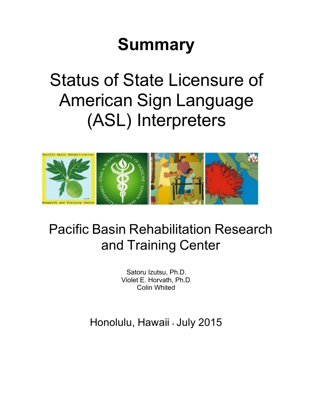# **Summary**

# Status of State Licensure of American Sign Language (ASL) Interpreters



## Pacific Basin Rehabilitation Research and Training Center

Satoru Izutsu, Ph.D. Violet E. Horvath, Ph.D. Colin Whited

Honolulu, Hawaii • July 2015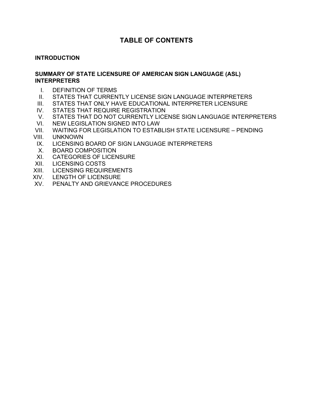### **TABLE OF CONTENTS**

#### **INTRODUCTION**

#### **SUMMARY OF STATE LICENSURE OF AMERICAN SIGN LANGUAGE (ASL) INTERPRETERS**

- I. DEFINITION OF TERMS
- II. STATES THAT CURRENTLY LICENSE SIGN LANGUAGE INTERPRETERS
- III. STATES THAT ONLY HAVE EDUCATIONAL INTERPRETER LICENSURE
- IV. STATES THAT REQUIRE REGISTRATION
- V. STATES THAT DO NOT CURRENTLY LICENSE SIGN LANGUAGE INTERPRETERS
- VI. NEW LEGISLATION SIGNED INTO LAW
- VII. WAITING FOR LEGISLATION TO ESTABLISH STATE LICENSURE PENDING
- VIII. UNKNOWN
- IX. LICENSING BOARD OF SIGN LANGUAGE INTERPRETERS
- X. BOARD COMPOSITION
- XI. CATEGORIES OF LICENSURE
- XII. LICENSING COSTS
- XIII. LICENSING REQUIREMENTS
- XIV. LENGTH OF LICENSURE
- XV. PENALTY AND GRIEVANCE PROCEDURES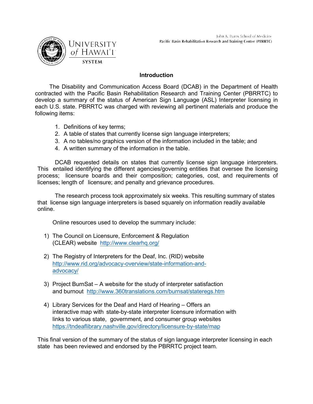

#### **Introduction**

The Disability and Communication Access Board (DCAB) in the Department of Health contracted with the Pacific Basin Rehabilitation Research and Training Center (PBRRTC) to develop a summary of the status of American Sign Language (ASL) Interpreter licensing in each U.S. state. PBRRTC was charged with reviewing all pertinent materials and produce the following items:

- 1. Definitions of key terms;
- 2. A table of states that currently license sign language interpreters;
- 3. A no tables/no graphics version of the information included in the table; and
- 4. A written summary of the information in the table.

DCAB requested details on states that currently license sign language interpreters. This entailed identifying the different agencies/governing entities that oversee the licensing process; licensure boards and their composition; categories, cost, and requirements of licenses; length of licensure; and penalty and grievance procedures.

The research process took approximately six weeks. This resulting summary of states that license sign language interpreters is based squarely on information readily available online.

Online resources used to develop the summary include:

- 1) The Council on Licensure, Enforcement & Regulation (CLEAR) website http://www.clearhq.org/
- 2) The Registry of Interpreters for the Deaf, Inc. (RID) website http://www.rid.org/advocacy-overview/state-information-andadvocacy/
- 3) Project BurnSat A website for the study of interpreter satisfaction and burnout http://www.360translations.com/burnsat/stateregs.htm
- 4) Library Services for the Deaf and Hard of Hearing Offers an interactive map with state-by-state interpreter licensure information with links to various state, government, and consumer group websites https://tndeaflibrary.nashville.gov/directory/licensure-by-state/map

This final version of the summary of the status of sign language interpreter licensing in each state has been reviewed and endorsed by the PBRRTC project team.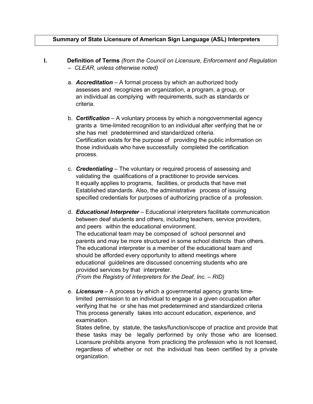#### **Summary of State Licensure of American Sign Language (ASL) Interpreters**

- **I. Definition of Terms** *(from the Council on Licensure, Enforcement and Regulation – CLEAR, unless otherwise noted)*
	- a. *Accreditation* A formal process by which an authorized body assesses and recognizes an organization, a program, a group, or an individual as complying with requirements, such as standards or criteria.
	- b. *Certification* A voluntary process by which a nongovernmental agency grants a time-limited recognition to an individual after verifying that he or she has met predetermined and standardized criteria. Certification exists for the purpose of providing the public information on those individuals who have successfully completed the certification process.
	- c. *Credentialing* The voluntary or required process of assessing and validating the qualifications of a practitioner to provide services. It equally applies to programs, facilities, or products that have met Established standards. Also, the administrative process of issuing specified credentials for purposes of authorizing practice of a profession.
	- d. *Educational Interpreter* Educational interpreters facilitate communication between deaf students and others, including teachers, service providers, and peers within the educational environment. The educational team may be composed of school personnel and parents and may be more structured in some school districts than others. The educational interpreter is a member of the educational team and should be afforded every opportunity to attend meetings where educational guidelines are discussed concerning students who are provided services by that interpreter. *(From the Registry of Interpreters for the Deaf, Inc. – RID)*
	- e. *Licensure*  A process by which a governmental agency grants timelimited permission to an individual to engage in a given occupation after verifying that he or she has met predetermined and standardized criteria This process generally takes into account education, experience, and examination.

States define, by statute, the tasks/function/scope of practice and provide that these tasks may be legally performed by only those who are licensed. Licensure prohibits anyone from practicing the profession who is not licensed, regardless of whether or not the individual has been certified by a private organization.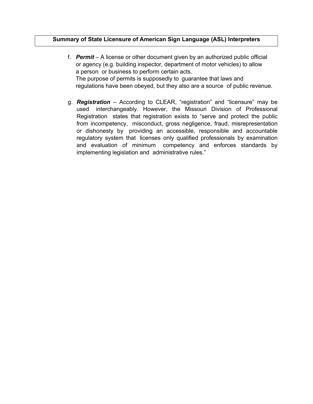#### **Summary of State Licensure of American Sign Language (ASL) Interpreters**

- f. *Permit*  A license or other document given by an authorized public official or agency (e.g. building inspector, department of motor vehicles) to allow a person or business to perform certain acts. The purpose of permits is supposedly to guarantee that laws and regulations have been obeyed, but they also are a source of public revenue.
- g. *Registration* According to CLEAR, "registration" and "licensure" may be used interchangeably. However, the Missouri Division of Professional Registration states that registration exists to "serve and protect the public from incompetency, misconduct, gross negligence, fraud, misrepresentation or dishonesty by providing an accessible, responsible and accountable regulatory system that licenses only qualified professionals by examination and evaluation of minimum competency and enforces standards by implementing legislation and administrative rules."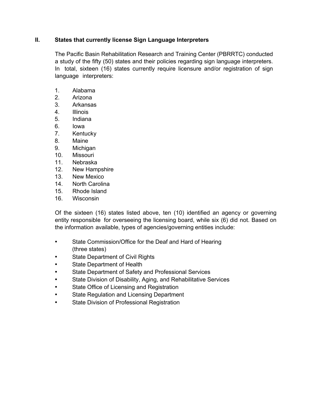#### **II. States that currently license Sign Language Interpreters**

The Pacific Basin Rehabilitation Research and Training Center (PBRRTC) conducted a study of the fifty (50) states and their policies regarding sign language interpreters. In total, sixteen (16) states currently require licensure and/or registration of sign language interpreters:

- 1. Alabama
- 2. Arizona
- 3. Arkansas
- 4. Illinois
- 5. Indiana
- 6. Iowa
- 7. Kentucky
- 8. Maine
- 9. Michigan
- 10. Missouri
- 11. Nebraska
- 12. New Hampshire
- 13. New Mexico
- 14. North Carolina
- 15. Rhode Island
- 16. Wisconsin

Of the sixteen (16) states listed above, ten (10) identified an agency or governing entity responsible for overseeing the licensing board, while six (6) did not. Based on the information available, types of agencies/governing entities include:

- State Commission/Office for the Deaf and Hard of Hearing (three states)
- State Department of Civil Rights
- State Department of Health
- State Department of Safety and Professional Services
- State Division of Disability, Aging, and Rehabilitative Services
- State Office of Licensing and Registration
- State Regulation and Licensing Department
- State Division of Professional Registration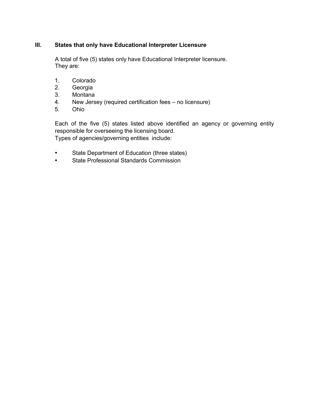#### **III. States that only have Educational Interpreter Licensure**

A total of five (5) states only have Educational Interpreter licensure. They are:

- 1. Colorado
- 2. Georgia
- 3. Montana
- 4. New Jersey (required certification fees no licensure)
- 5. Ohio

Each of the five (5) states listed above identified an agency or governing entity responsible for overseeing the licensing board. Types of agencies/governing entities include:

- State Department of Education (three states)
- State Professional Standards Commission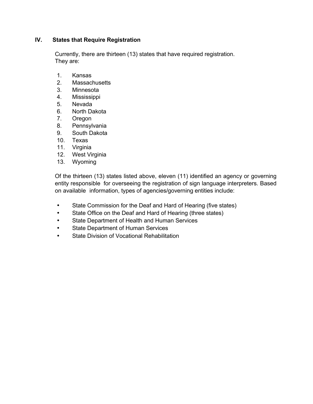#### **IV. States that Require Registration**

Currently, there are thirteen (13) states that have required registration. They are:

- 1. Kansas
- 2. Massachusetts
- 3. Minnesota
- 4. Mississippi
- 5. Nevada
- 6. North Dakota
- 7. Oregon
- 8. Pennsylvania
- 9. South Dakota
- 10. Texas
- 11. Virginia
- 12. West Virginia
- 13. Wyoming

Of the thirteen (13) states listed above, eleven (11) identified an agency or governing entity responsible for overseeing the registration of sign language interpreters. Based on available information, types of agencies/governing entities include:

- State Commission for the Deaf and Hard of Hearing (five states)
- State Office on the Deaf and Hard of Hearing (three states)
- State Department of Health and Human Services
- State Department of Human Services
- State Division of Vocational Rehabilitation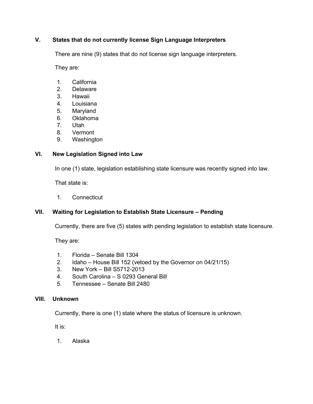#### **V. States that do not currently license Sign Language Interpreters**

There are nine (9) states that do not license sign language interpreters.

They are:

- 1. California
- 2. Delaware
- 3. Hawaii
- 4. Louisiana
- 5. Maryland
- 6. Oklahoma
- 7. Utah
- 8. Vermont
- 9. Washington

#### **VI. New Legislation Signed into Law**

In one (1) state, legislation establishing state licensure was recently signed into law.

That state is:

1. Connecticut

#### **VII. Waiting for Legislation to Establish State Licensure – Pending**

Currently, there are five (5) states with pending legislation to establish state licensure.

They are:

- 1. Florida Senate Bill 1304
- 2. Idaho House Bill 152 (vetoed by the Governor on 04/21/15)
- 3. New York Bill S5712-2013
- 4. South Carolina S 0293 General Bill
- 5. Tennessee Senate Bill 2480

#### **VIII. Unknown**

Currently, there is one (1) state where the status of licensure is unknown.

It is:

1. Alaska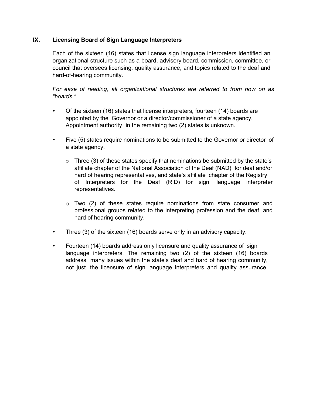#### **IX. Licensing Board of Sign Language Interpreters**

Each of the sixteen (16) states that license sign language interpreters identified an organizational structure such as a board, advisory board, commission, committee, or council that oversees licensing, quality assurance, and topics related to the deaf and hard-of-hearing community.

*For ease of reading, all organizational structures are referred to from now on as "boards."*

- Of the sixteen (16) states that license interpreters, fourteen (14) boards are appointed by the Governor or a director/commissioner of a state agency. Appointment authority in the remaining two (2) states is unknown.
- Five (5) states require nominations to be submitted to the Governor or director of a state agency.
	- $\circ$  Three (3) of these states specify that nominations be submitted by the state's affiliate chapter of the National Association of the Deaf (NAD) for deaf and/or hard of hearing representatives, and state's affiliate chapter of the Registry of Interpreters for the Deaf (RID) for sign language interpreter representatives.
	- $\circ$  Two (2) of these states require nominations from state consumer and professional groups related to the interpreting profession and the deaf and hard of hearing community.
- Three (3) of the sixteen (16) boards serve only in an advisory capacity.
- Fourteen (14) boards address only licensure and quality assurance of sign language interpreters. The remaining two (2) of the sixteen (16) boards address many issues within the state's deaf and hard of hearing community, not just the licensure of sign language interpreters and quality assurance.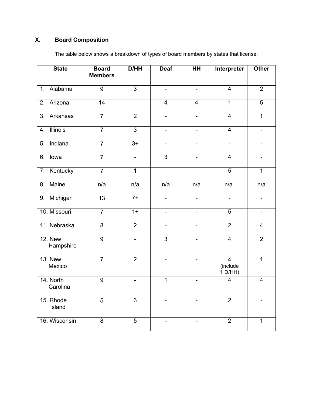### **X. Board Composition**

| <b>State</b>                 | <b>Board</b><br><b>Members</b> | D/HH            | <b>Deaf</b>                  | HH                           | Interpreter                             | <b>Other</b>             |
|------------------------------|--------------------------------|-----------------|------------------------------|------------------------------|-----------------------------------------|--------------------------|
| Alabama<br>$\overline{1}$ .  | $\overline{9}$                 | $\overline{3}$  | $\overline{\phantom{a}}$     | $\blacksquare$               | $\overline{4}$                          | $\overline{2}$           |
| Arizona<br>2.                | 14                             |                 | $\overline{4}$               | $\overline{4}$               | $\overline{1}$                          | $\overline{5}$           |
| $\overline{3}$ .<br>Arkansas | $\overline{7}$                 | $\overline{2}$  | $\overline{a}$               | $\overline{a}$               | $\overline{4}$                          | $\overline{1}$           |
| <b>Illinois</b><br>4.        | $\overline{7}$                 | $\overline{3}$  | $\overline{\phantom{a}}$     | $\overline{\phantom{a}}$     | $\overline{4}$                          | $\overline{\phantom{a}}$ |
| Indiana<br>$\overline{5}$ .  | $\overline{7}$                 | $3+$            | $\overline{\phantom{a}}$     | $\blacksquare$               | $\overline{\phantom{a}}$                | $\overline{\phantom{a}}$ |
| lowa<br>6.                   | $\overline{7}$                 | $\blacksquare$  | $\overline{3}$               | $\qquad \qquad \blacksquare$ | $\overline{4}$                          | $\blacksquare$           |
| Kentucky<br>7.               | $\overline{7}$                 | $\overline{1}$  |                              |                              | $\overline{5}$                          | $\overline{1}$           |
| Maine<br>8.                  | n/a                            | n/a             | n/a                          | n/a                          | n/a                                     | n/a                      |
| 9. Michigan                  | $\overline{13}$                | $7+$            | $\blacksquare$               | $\overline{a}$               | $\blacksquare$                          | $\blacksquare$           |
| 10. Missouri                 | $\overline{7}$                 | $\overline{1+}$ | $\blacksquare$               | $\blacksquare$               | $\overline{5}$                          | $\overline{\phantom{a}}$ |
| 11. Nebraska                 | $\overline{8}$                 | $\overline{2}$  | $\overline{\phantom{a}}$     | $\qquad \qquad -$            | $\overline{2}$                          | $\overline{4}$           |
| <b>12. New</b><br>Hampshire  | $\overline{9}$                 | $\blacksquare$  | $\overline{3}$               |                              | $\overline{4}$                          | $\overline{2}$           |
| <b>13. New</b><br>Mexico     | $\overline{7}$                 | $\overline{2}$  |                              |                              | $\overline{4}$<br>(include<br>$1$ D/HH) | $\overline{1}$           |
| 14. North<br>Carolina        | $\overline{9}$                 | $\blacksquare$  | $\overline{1}$               | $\blacksquare$               | $\overline{4}$                          | $\overline{4}$           |
| 15. Rhode<br>Island          | $\overline{5}$                 | $\overline{3}$  | $\qquad \qquad \blacksquare$ | $\blacksquare$               | $\overline{2}$                          |                          |
| 16. Wisconsin                | 8                              | $\overline{5}$  |                              |                              | $\overline{2}$                          | 1                        |

The table below shows a breakdown of types of board members by states that license: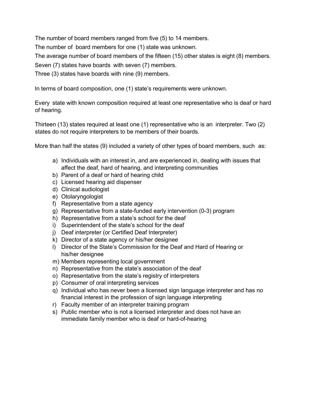The number of board members ranged from five (5) to 14 members.

The number of board members for one (1) state was unknown.

The average number of board members of the fifteen (15) other states is eight (8) members.

Seven (7) states have boards with seven (7) members.

Three (3) states have boards with nine (9) members.

In terms of board composition, one (1) state's requirements were unknown.

Every state with known composition required at least one representative who is deaf or hard of hearing.

Thirteen (13) states required at least one (1) representative who is an interpreter. Two (2) states do not require interpreters to be members of their boards.

More than half the states (9) included a variety of other types of board members, such as:

- a) Individuals with an interest in, and are experienced in, dealing with issues that affect the deaf, hard of hearing, and interpreting communities
- b) Parent of a deaf or hard of hearing child
- c) Licensed hearing aid dispenser
- d) Clinical audiologist
- e) Otolaryngologist
- f) Representative from a state agency
- g) Representative from a state-funded early intervention (0-3) program
- h) Representative from a state's school for the deaf
- i) Superintendent of the state's school for the deaf
- j) Deaf interpreter (or Certified Deaf Interpreter)
- k) Director of a state agency or his/her designee
- l) Director of the State's Commission for the Deaf and Hard of Hearing or his/her designee
- m) Members representing local government
- n) Representative from the state's association of the deaf
- o) Representative from the state's registry of interpreters
- p) Consumer of oral interpreting services
- q) Individual who has never been a licensed sign language interpreter and has no financial interest in the profession of sign language interpreting
- r) Faculty member of an interpreter training program
- s) Public member who is not a licensed interpreter and does not have an immediate family member who is deaf or hard-of-hearing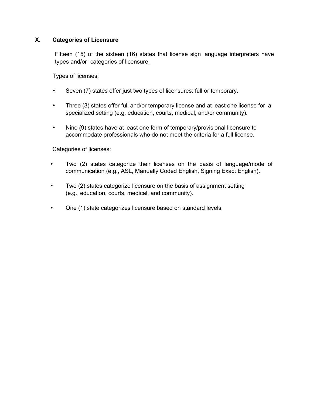#### **X. Categories of Licensure**

Fifteen (15) of the sixteen (16) states that license sign language interpreters have types and/or categories of licensure.

Types of licenses:

- Seven (7) states offer just two types of licensures: full or temporary.
- Three (3) states offer full and/or temporary license and at least one license for a specialized setting (e.g. education, courts, medical, and/or community).
- Nine (9) states have at least one form of temporary/provisional licensure to accommodate professionals who do not meet the criteria for a full license.

Categories of licenses:

- Two (2) states categorize their licenses on the basis of language/mode of communication (e.g., ASL, Manually Coded English, Signing Exact English).
- Two (2) states categorize licensure on the basis of assignment setting (e.g. education, courts, medical, and community).
- One (1) state categorizes licensure based on standard levels.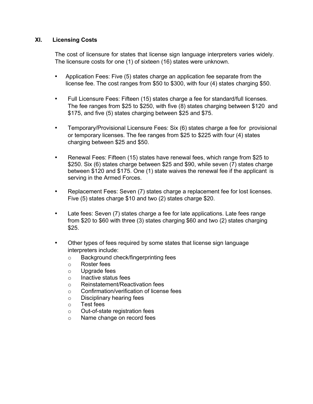#### **XI. Licensing Costs**

The cost of licensure for states that license sign language interpreters varies widely. The licensure costs for one (1) of sixteen (16) states were unknown.

- Application Fees: Five (5) states charge an application fee separate from the license fee. The cost ranges from \$50 to \$300, with four (4) states charging \$50.
- Full Licensure Fees: Fifteen (15) states charge a fee for standard/full licenses. The fee ranges from \$25 to \$250, with five (8) states charging between \$120 and \$175, and five (5) states charging between \$25 and \$75.
- Temporary/Provisional Licensure Fees: Six (6) states charge a fee for provisional or temporary licenses. The fee ranges from \$25 to \$225 with four (4) states charging between \$25 and \$50.
- Renewal Fees: Fifteen (15) states have renewal fees, which range from \$25 to \$250. Six (6) states charge between \$25 and \$90, while seven (7) states charge between \$120 and \$175. One (1) state waives the renewal fee if the applicant is serving in the Armed Forces.
- Replacement Fees: Seven (7) states charge a replacement fee for lost licenses. Five (5) states charge \$10 and two (2) states charge \$20.
- Late fees: Seven (7) states charge a fee for late applications. Late fees range from \$20 to \$60 with three (3) states charging \$60 and two (2) states charging \$25.
- Other types of fees required by some states that license sign language interpreters include:
	- o Background check/fingerprinting fees
	- o Roster fees
	- o Upgrade fees
	- o Inactive status fees
	- o Reinstatement/Reactivation fees
	- o Confirmation/verification of license fees
	- o Disciplinary hearing fees
	- o Test fees
	- o Out-of-state registration fees
	- o Name change on record fees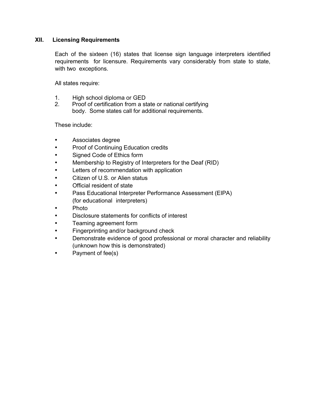#### **XII. Licensing Requirements**

Each of the sixteen (16) states that license sign language interpreters identified requirements for licensure. Requirements vary considerably from state to state, with two exceptions.

All states require:

- 1. High school diploma or GED
- 2. Proof of certification from a state or national certifying body. Some states call for additional requirements.

These include:

- Associates degree
- Proof of Continuing Education credits
- Signed Code of Ethics form
- Membership to Registry of Interpreters for the Deaf (RID)
- Letters of recommendation with application
- Citizen of U.S. or Alien status
- Official resident of state
- Pass Educational Interpreter Performance Assessment (EIPA) (for educational interpreters)
- Photo
- Disclosure statements for conflicts of interest
- Teaming agreement form
- Fingerprinting and/or background check
- Demonstrate evidence of good professional or moral character and reliability (unknown how this is demonstrated)
- Payment of fee(s)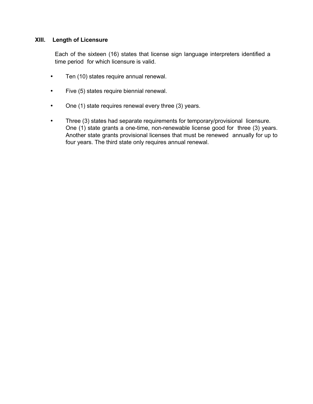#### **XIII. Length of Licensure**

Each of the sixteen (16) states that license sign language interpreters identified a time period for which licensure is valid.

- Ten (10) states require annual renewal.
- Five (5) states require biennial renewal.
- One (1) state requires renewal every three (3) years.
- Three (3) states had separate requirements for temporary/provisional licensure. One (1) state grants a one-time, non-renewable license good for three (3) years. Another state grants provisional licenses that must be renewed annually for up to four years. The third state only requires annual renewal.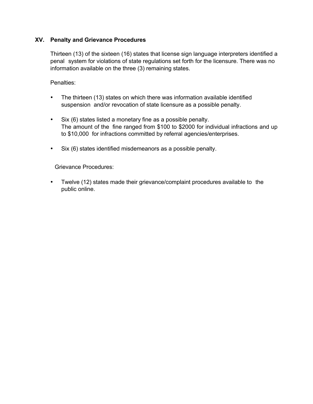#### **XV. Penalty and Grievance Procedures**

Thirteen (13) of the sixteen (16) states that license sign language interpreters identified a penal system for violations of state regulations set forth for the licensure. There was no information available on the three (3) remaining states.

Penalties:

- The thirteen (13) states on which there was information available identified suspension and/or revocation of state licensure as a possible penalty.
- Six (6) states listed a monetary fine as a possible penalty. The amount of the fine ranged from \$100 to \$2000 for individual infractions and up to \$10,000 for infractions committed by referral agencies/enterprises.
- Six (6) states identified misdemeanors as a possible penalty.

Grievance Procedures:

• Twelve (12) states made their grievance/complaint procedures available to the public online.